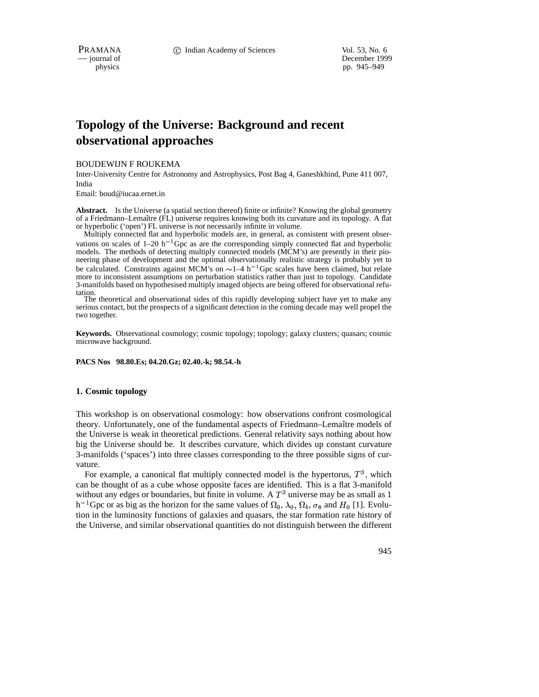# **Topology of the Universe: Background and recent observational approaches**

BOUDEWIJN F ROUKEMA

Inter-University Centre for Astronomy and Astrophysics, Post Bag 4, Ganeshkhind, Pune 411 007, India

Email: boud@iucaa.ernet.in

Abstract. Is the Universe (a spatial section thereof) finite or infinite? Knowing the global geometry of a Friedmann–Lemaître (FL) universe requires knowing both its curvature and its topology. A flat or hyperbolic ('open') FL universe is *not* necessarily infinite in volume.

Multiply connected flat and hyperbolic models are, in general, as consistent with present observations on scales of  $1-20$  h<sup>-1</sup> Gpc as are the corresponding simply connected flat and hyperbolic models. The methods of detecting multiply connected models ( $MCM$ 's) are presently in their pioneering phase of development and the optimal observationally realistic strategy is probably yet to be calculated. Constraints against MCM's on  $\sim$  1–4 h<sup>-1</sup>Gpc scales have been claimed, but relate more to inconsistent assumptions on perturbation statistics rather than just to topology. Candidate 3-manifolds based on hypothesised multiply imaged objects are being offered for observational refu-

tation. The theoretical and observational sides of this rapidly developing subject have yet to make any serious contact, but the prospects of a significant detection in the coming decade may well propel the two together.

**Keywords.** Observational cosmology; cosmic topology; topology; galaxy clusters; quasars; cosmic microwave background.

**PACS Nos 98.80.Es; 04.20.Gz; 02.40.-k; 98.54.-h**

#### **1. Cosmic topology**

This workshop is on observational cosmology: how observations confront cosmological theory. Unfortunately, one of the fundamental aspects of Friedmann–Lemaˆıtre models of the Universe is weak in theoretical predictions. General relativity says nothing about how big the Universe should be. It describes curvature, which divides up constant curvature 3-manifolds ('spaces') into three classes corresponding to the three possible signs of curvature.

For example, a canonical flat multiply connected model is the hypertorus,  $T<sup>3</sup>$ , which can be thought of as a cube whose opposite faces are identified. This is a flat 3-manifold without any edges or boundaries, but finite in volume. A  $T<sup>3</sup>$  universe may be as small as 1 h<sup>-1</sup>Gpc or as big as the horizon for the same values of  $\Omega_0$ ,  $\lambda_0$ ,  $\Omega_b$ ,  $\sigma_8$  and  $H_0$  [1]. Evolution in the luminosity functions of galaxies and quasars, the star formation rate history of the Universe, and similar observational quantities do not distinguish between the different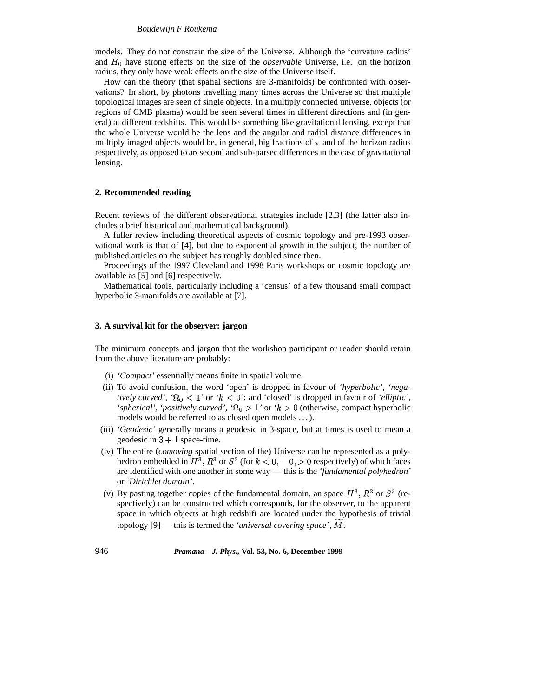## *Boudewijn F Roukema*

models. They do not constrain the size of the Universe. Although the 'curvature radius' and  $H_0$  have strong effects on the size of the *observable* Universe, i.e. on the horizon radius, they only have weak effects on the size of the Universe itself.

How can the theory (that spatial sections are 3-manifolds) be confronted with observations? In short, by photons travelling many times across the Universe so that multiple topological images are seen of single objects. In a multiply connected universe, objects (or regions of CMB plasma) would be seen several times in different directions and (in general) at different redshifts. This would be something like gravitational lensing, except that the whole Universe would be the lens and the angular and radial distance differences in multiply imaged objects would be, in general, big fractions of  $\pi$  and of the horizon radius respectively, as opposed to arcsecond and sub-parsec differencesin the case of gravitational lensing.

## **2. Recommended reading**

Recent reviews of the different observational strategies include [2,3] (the latter also includes a brief historical and mathematical background).

A fuller review including theoretical aspects of cosmic topology and pre-1993 observational work is that of [4], but due to exponential growth in the subject, the number of published articles on the subject has roughly doubled since then.

Proceedings of the 1997 Cleveland and 1998 Paris workshops on cosmic topology are available as [5] and [6] respectively.

Mathematical tools, particularly including a 'census' of a few thousand small compact hyperbolic 3-manifolds are available at [7].

# **3. A survival kit for the observer: jargon**

The minimum concepts and jargon that the workshop participant or reader should retain from the above literature are probably:

- (i) *'Compact'* essentially means finite in spatial volume.
- (ii) To avoid confusion, the word 'open' is dropped in favour of *'hyperbolic', 'negatively curved',*  $\Omega_0 < 1$ ' or  $k < 0$ '; and 'closed' is dropped in favour of 'elliptic', 'spherical', 'positively *curved'*, ' $\Omega_0 > 1$ ' or ' $k > 0$  (otherwise, compact hyperbolic models would be referred to as closed open models . . .).
- (iii) *'Geodesic'* generally means a geodesic in 3-space, but at times is used to mean a geodesic in  $3 + 1$  space-time.
- (iv) The entire (*comoving* spatial section of the) Universe can be represented as a polyhedron embedded in  $H^3$ ,  $R^3$  or  $S^3$  (for  $k < 0, = 0, > 0$  respectively) of which faces are identified with one another in some way — this is the *'fundamental polyhedron'* or *'Dirichlet domain'*.
- (v) By pasting together copies of the fundamental domain, an space  $H^3$ ,  $R^3$  or  $S^3$  (respectively) can be constructed which corresponds, for the observer, to the apparent space in which objects at high redshift are located under the hypothesis of trivial topology [9] — this is termed the *'universal covering space'*, M.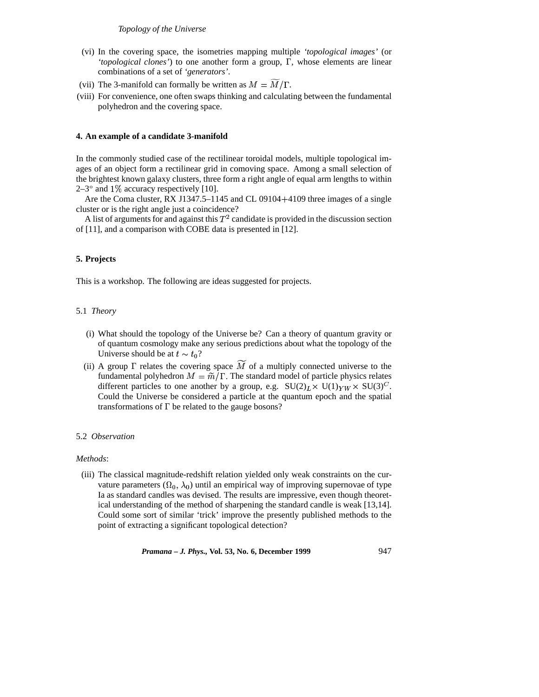# *Topology of the Universe*

- (vi) In the covering space, the isometries mapping multiple *'topological images'* (or 'topological clones') to one another form a group,  $\Gamma$ , whose elements are linear combinations of a set of *'generators'*.
- (vii) The 3-manifold can formally be written as  $M = M/\Gamma$ .
- (viii) For convenience, one often swaps thinking and calculating between the fundamental polyhedron and the covering space.

# **4. An example of a candidate 3-manifold**

In the commonly studied case of the rectilinear toroidal models, multiple topological images of an object form a rectilinear grid in comoving space. Among a small selection of the brightest known galaxy clusters, three form a right angle of equal arm lengths to within  $2-3^{\circ}$  and  $1\%$  accuracy respectively [10].

Are the Coma cluster, RX J1347.5–1145 and CL 09104+4109 three images of a single cluster or is the right angle just a coincidence?

A list of arguments for and against this  $T^2$  candidate is provided in the discussion section of [11], and a comparison with COBE data is presented in [12].

# **5. Projects**

This is a workshop. The following are ideas suggested for projects.

## 5.1 *Theory*

- (i) What should the topology of the Universe be? Can a theory of quantum gravity or of quantum cosmology make any serious predictions about what the topology of the Universe should be at  $t \sim t_0$ ?
- (ii) A group  $\Gamma$  relates the covering space M of a multiply connected universe to the fundamental polyhedron  $M = \widetilde{m}/\Gamma$ . The standard model of particle physics relates different particles to one another by a group, e.g.  $SU(2)_L \times U(1)_{YW} \times SU(3)^C$ . Could the Universe be considered a particle at the quantum epoch and the spatial transformations of  $\Gamma$  be related to the gauge bosons?

# 5.2 *Observation*

## *Methods*:

(iii) The classical magnitude-redshift relation yielded only weak constraints on the curvature parameters  $( \Omega_0, \lambda_0 )$  until an empirical way of improving supernovae of type Ia as standard candles was devised. The results are impressive, even though theoretical understanding of the method of sharpening the standard candle is weak [13,14]. Could some sort of similar 'trick' improve the presently published methods to the point of extracting a significant topological detection?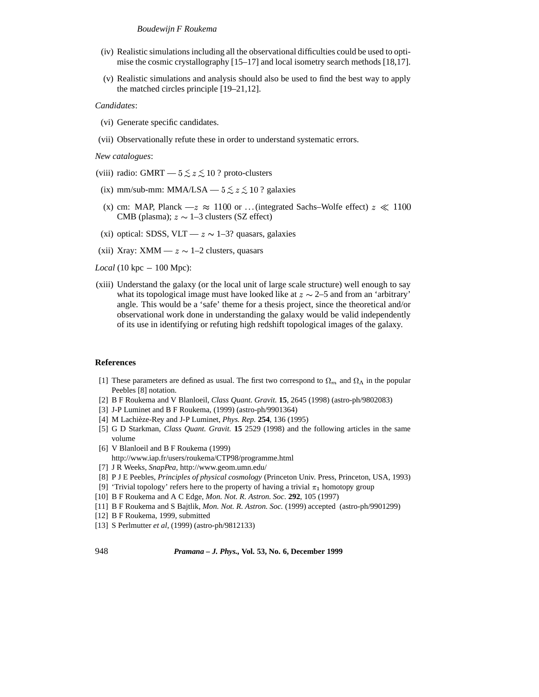## *Boudewijn F Roukema*

- (iv) Realistic simulationsincluding all the observational difficulties could be used to optimise the cosmic crystallography [15–17] and local isometry search methods [18,17].
- (v) Realistic simulations and analysis should also be used to find the best way to apply the matched circles principle [19–21,12].

## *Candidates*:

- (vi) Generate specific candidates.
- (vii) Observationally refute these in order to understand systematic errors.

*New catalogues*:

- (viii) radio: GMRT  $-5 \le z \le 10$ ? proto-clusters
- (ix) mm/sub-mm: MMA/LSA  $-5 \le z \le 10$ ? galaxies
- (x) cm: MAP, Planck  $-z \approx 1100$  or ...(integrated Sachs–Wolfe effect)  $z \ll 1100$ CMB (plasma);  $z \sim 1$ –3 clusters (SZ effect)
- (xi) optical: SDSS, VLT  $z \sim 1-3$ ? quasars, galaxies
- (xii) Xray: XMM  $z \sim 1$ –2 clusters, quasars
- $Local (10 kpc 100 Mpc):$
- (xiii) Understand the galaxy (or the local unit of large scale structure) well enough to say what its topological image must have looked like at  $z \sim 2-5$  and from an 'arbitrary' angle. This would be a 'safe' theme for a thesis project, since the theoretical and/or observational work done in understanding the galaxy would be valid independently of its use in identifying or refuting high redshift topological images of the galaxy.

## **References**

- [1] These parameters are defined as usual. The first two correspond to  $\Omega_m$  and  $\Omega_{\Lambda}$  in the popular Peebles [8] notation.
- [2] B F Roukema and V Blanloeil, *Class Quant. Gravit.* **15**, 2645 (1998) (astro-ph/9802083)
- [3] J-P Luminet and B F Roukema, (1999) (astro-ph/9901364)
- [4] M Lachièze-Rey and J-P Luminet, *Phys. Rep.* **254**, 136 (1995)
- [5] G D Starkman, *Class Quant. Gravit.* **15** 2529 (1998) and the following articles in the same volume
- [6] V Blanloeil and B F Roukema (1999)
- http://www.iap.fr/users/roukema/CTP98/programme.html
- [7] J R Weeks, *SnapPea*, http://www.geom.umn.edu/
- [8] P J E Peebles, *Principles of physical cosmology* (Princeton Univ. Press, Princeton, USA, 1993)
- [9] 'Trivial topology' refers here to the property of having a trivial  $\pi_1$  homotopy group
- [10] B F Roukema and A C Edge, *Mon. Not. R. Astron. Soc.* **292**, 105 (1997)
- [11] B F Roukema and S Bajtlik, *Mon. Not. R. Astron. Soc.* (1999) accepted (astro-ph/9901299)
- [12] B F Roukema, 1999, submitted
- [13] S Perlmutter *et al*, (1999) (astro-ph/9812133)